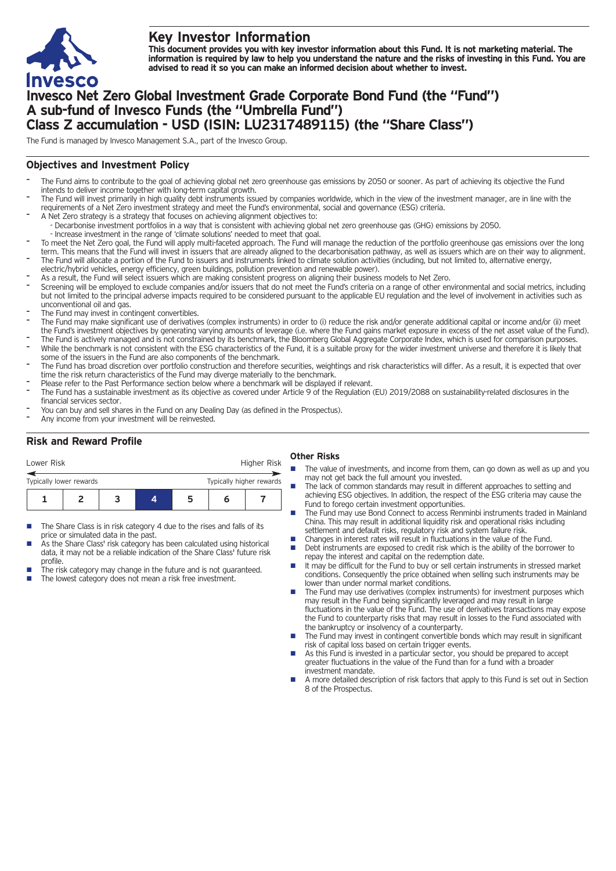

# **Key Investor Information**

This document provides you with key investor information about this Fund. It is not marketing material. The information is required by law to help you understand the nature and the risks of investing in this Fund. You are **advised to read it so you can make an informed decision about whether to invest.**

# **Invesco Net Zero Global Investment Grade Corporate Bond Fund (the "Fund") A sub-fund of Invesco Funds (the "Umbrella Fund") Class Z accumulation - USD (ISIN: LU2317489115) (the "Share Class")**

The Fund is managed by Invesco Management S.A., part of the Invesco Group.

## **Objectives and Investment Policy**

- The Fund aims to contribute to the goal of achieving global net zero greenhouse gas emissions by 2050 or sooner. As part of achieving its objective the Fund intends to deliver income together with long-term capital growth.
- The Fund will invest primarily in high quality debt instruments issued by companies worldwide, which in the view of the investment manager, are in line with the requirements of a Net Zero investment strategy and meet the Fund's environmental, social and governance (ESG) criteria.
- A Net Zero strategy is a strategy that focuses on achieving alignment objectives to: - Decarbonise investment portfolios in a way that is consistent with achieving global net zero greenhouse gas (GHG) emissions by 2050.
- Increase investment in the range of 'climate solutions' needed to meet that goal.
- To meet the Net Zero goal, the Fund will apply multi-faceted approach. The Fund will manage the reduction of the portfolio greenhouse gas emissions over the long term. This means that the Fund will invest in issuers that are already aligned to the decarbonisation pathway, as well as issuers which are on their way to alignment. The Fund will allocate a portion of the Fund to issuers and instruments linked to climate solution activities (including, but not limited to, alternative energy,
- electric/hybrid vehicles, energy efficiency, green buildings, pollution prevention and renewable power).
- As a result, the Fund will select issuers which are making consistent progress on aligning their business models to Net Zero.
- Screening will be employed to exclude companies and/or issuers that do not meet the Fund's criteria on a range of other environmental and social metrics, including but not limited to the principal adverse impacts required to be considered pursuant to the applicable EU regulation and the level of involvement in activities such as unconventional oil and gas.
- The Fund may invest in contingent convertibles.
- The Fund may make significant use of derivatives (complex instruments) in order to (i) reduce the risk and/or generate additional capital or income and/or (ii) meet the Fund's investment objectives by generating varying amounts of leverage (i.e. where the Fund gains market exposure in excess of the net asset value of the Fund).
- The Fund is actively managed and is not constrained by its benchmark, the Bloomberg Global Aggregate Corporate Index, which is used for comparison purposes. While the benchmark is not consistent with the ESG characteristics of the Fund, it is a suitable proxy for the wider investment universe and therefore it is likely that some of the issuers in the Fund are also components of the benchmark.
- The Fund has broad discretion over portfolio construction and therefore securities, weightings and risk characteristics will differ. As a result, it is expected that over time the risk return characteristics of the Fund may diverge materially to the benchmark.
- Please refer to the Past Performance section below where a benchmark will be displayed if relevant.
- The Fund has a sustainable investment as its objective as covered under Article 9 of the Regulation (EU) 2019/2088 on sustainability-related disclosures in the financial services sector.
- You can buy and sell shares in the Fund on any Dealing Day (as defined in the Prospectus).
- Any income from your investment will be reinvested.

## **Risk and Reward Profile**

| Lower Risk                                          |  |  |  |   | Higher Risk |  |  |
|-----------------------------------------------------|--|--|--|---|-------------|--|--|
| Typically higher rewards<br>Typically lower rewards |  |  |  |   |             |  |  |
|                                                     |  |  |  | ּ | n           |  |  |

- The Share Class is in risk category 4 due to the rises and falls of its price or simulated data in the past.
- As the Share Class' risk category has been calculated using historical data, it may not be a reliable indication of the Share Class' future risk profile.
- The risk category may change in the future and is not guaranteed. The lowest category does not mean a risk free investment.

### **Other Risks**

- The value of investments, and income from them, can go down as well as up and you may not get back the full amount you invested.
- The lack of common standards may result in different approaches to setting and achieving ESG objectives. In addition, the respect of the ESG criteria may cause the Fund to forego certain investment opportunities.
- The Fund may use Bond Connect to access Renminbi instruments traded in Mainland China. This may result in additional liquidity risk and operational risks including settlement and default risks, regulatory risk and system failure risk.
- Changes in interest rates will result in fluctuations in the value of the Fund.<br>■ Debt instruments are exposed to credit risk which is the ability of the borre
- Debt instruments are exposed to credit risk which is the ability of the borrower to repay the interest and capital on the redemption date.
- $\blacksquare$  It may be difficult for the Fund to buy or sell certain instruments in stressed market conditions. Consequently the price obtained when selling such instruments may be lower than under normal market conditions.
- The Fund may use derivatives (complex instruments) for investment purposes which may result in the Fund being significantly leveraged and may result in large fluctuations in the value of the Fund. The use of derivatives transactions may expose the Fund to counterparty risks that may result in losses to the Fund associated with the bankruptcy or insolvency of a counterparty.
- The Fund may invest in contingent convertible bonds which may result in significant risk of capital loss based on certain trigger events.
- n As this Fund is invested in a particular sector, you should be prepared to accept greater fluctuations in the value of the Fund than for a fund with a broader investment mandate.
- n A more detailed description of risk factors that apply to this Fund is set out in Section 8 of the Prospectus.